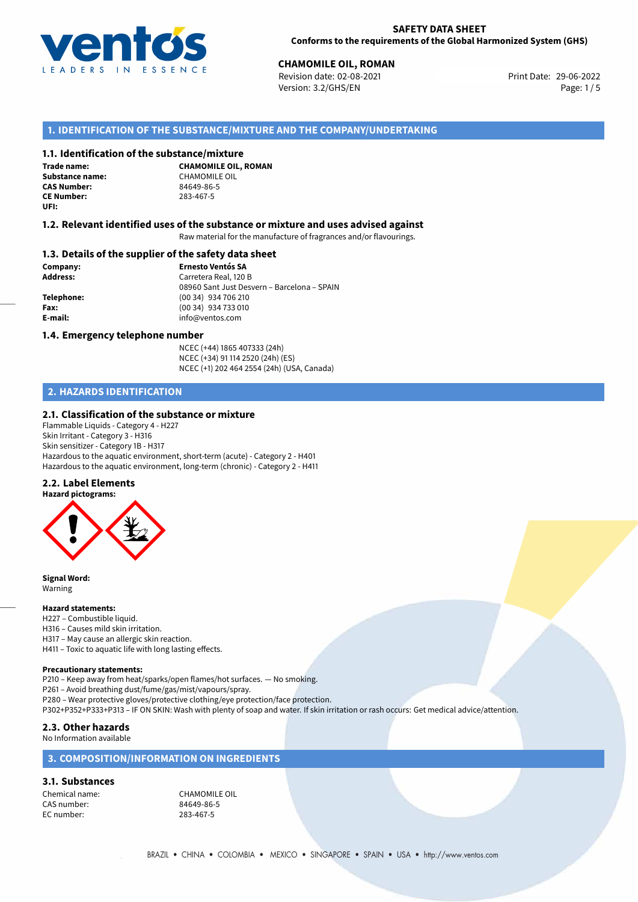

# **CHAMOMILE OIL, ROMAN**<br>
Revision date: 02-08-2021<br> **Print Date: 29-06-2022**

Revision date: 02-08-2021 Version: 3.2/GHS/EN Page: 1/5

## **1. IDENTIFICATION OF THE SUBSTANCE/MIXTURE AND THE COMPANY/UNDERTAKING**

## **1.1. Identification of the substance/mixture**

**Trade name: Substance name:** CHAMOMILE OIL<br> **CAS Number:** 84649-86-5 **CAS Number: CE Number:** 283-467-5 **UFI:**

**CHAMOMILE OIL, ROMAN**

## **1.2. Relevant identified uses of the substance or mixture and uses advised against**

Raw material for the manufacture of fragrances and/or flavourings.

## **1.3. Details of the supplier of the safety data sheet**

**Company: Ernesto Ventós SA Address:** Carretera Real, 120 B 08960 Sant Just Desvern – Barcelona – SPAIN **Telephone:** (00 34) 934 706 210 **Fax:** (00 34) 934 733 010 **E-mail:** info@ventos.com

### **1.4. Emergency telephone number**

NCEC (+44) 1865 407333 (24h) NCEC (+34) 91 114 2520 (24h) (ES) NCEC (+1) 202 464 2554 (24h) (USA, Canada)

## **2. HAZARDS IDENTIFICATION**

## **2.1. Classification of the substance or mixture**

Flammable Liquids - Category 4 - H227 Skin Irritant - Category 3 - H316 Skin sensitizer - Category 1B - H317 Hazardous to the aquatic environment, short-term (acute) - Category 2 - H401 Hazardous to the aquatic environment, long-term (chronic) - Category 2 - H411

#### **2.2. Label Elements**



**Signal Word:** Warning

#### **Hazard statements:**

- H227 Combustible liquid.
- H316 Causes mild skin irritation.
- H317 May cause an allergic skin reaction.
- H411 Toxic to aquatic life with long lasting effects.

#### **Precautionary statements:**

P210 – Keep away from heat/sparks/open flames/hot surfaces. — No smoking.

P261 – Avoid breathing dust/fume/gas/mist/vapours/spray.

P280 – Wear protective gloves/protective clothing/eye protection/face protection.

P302+P352+P333+P313 – IF ON SKIN: Wash with plenty of soap and water. If skin irritation or rash occurs: Get medical advice/attention.

## **2.3. Other hazards**

No Information available

## **3. COMPOSITION/INFORMATION ON INGREDIENTS**

### **3.1. Substances**

Chemical name: CHAMOMILE OIL CAS number: 84649-86-5 EC number: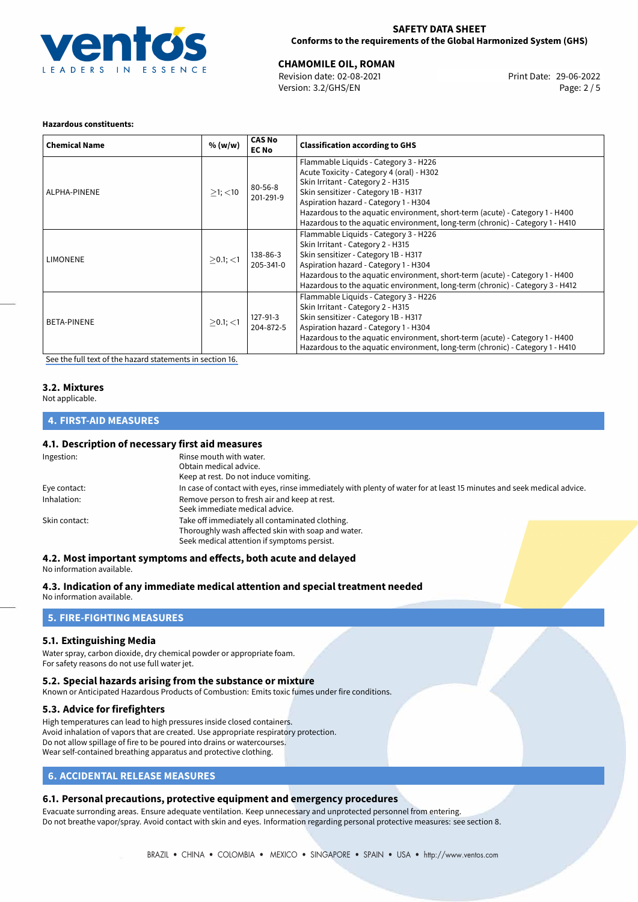

## **SAFETY DATA SHEET Conforms to the requirements of the Global Harmonized System (GHS)**

# **CHAMOMILE OIL, ROMAN**<br>
Revision date: 02-08-2021<br> **Print Date: 29-06-2022**

Revision date: 02-08-2021 Version: 3.2/GHS/EN Page: 2 / 5

#### **Hazardous constituents:**

| <b>Chemical Name</b> | % (w/w)       | <b>CAS No</b><br><b>EC No</b> | <b>Classification according to GHS</b>                                                                                                                                                                                                                                                                                                                                    |
|----------------------|---------------|-------------------------------|---------------------------------------------------------------------------------------------------------------------------------------------------------------------------------------------------------------------------------------------------------------------------------------------------------------------------------------------------------------------------|
| ALPHA-PINENE         | $>1$ ; $<$ 10 | 80-56-8<br>201-291-9          | Flammable Liquids - Category 3 - H226<br>Acute Toxicity - Category 4 (oral) - H302<br>Skin Irritant - Category 2 - H315<br>Skin sensitizer - Category 1B - H317<br>Aspiration hazard - Category 1 - H304<br>Hazardous to the aquatic environment, short-term (acute) - Category 1 - H400<br>Hazardous to the aquatic environment, long-term (chronic) - Category 1 - H410 |
| LIMONENE             | $>0.1$ ; <1   | 138-86-3<br>205-341-0         | Flammable Liquids - Category 3 - H226<br>Skin Irritant - Category 2 - H315<br>Skin sensitizer - Category 1B - H317<br>Aspiration hazard - Category 1 - H304<br>Hazardous to the aquatic environment, short-term (acute) - Category 1 - H400<br>Hazardous to the aquatic environment, long-term (chronic) - Category 3 - H412                                              |
| <b>BETA-PINENE</b>   | $>0.1$ ; <1   | 127-91-3<br>204-872-5         | Flammable Liquids - Category 3 - H226<br>Skin Irritant - Category 2 - H315<br>Skin sensitizer - Category 1B - H317<br>Aspiration hazard - Category 1 - H304<br>Hazardous to the aquatic environment, short-term (acute) - Category 1 - H400<br>Hazardous to the aquatic environment, long-term (chronic) - Category 1 - H410                                              |

[See the full text of the hazard statements in section 16.](#page-4-0)

## **3.2. Mixtures**

Not applicable.

## **4. FIRST-AID MEASURES**

## **4.1. Description of necessary first aid measures**

| Ingestion:    | Rinse mouth with water.                                                                                               |  |  |  |
|---------------|-----------------------------------------------------------------------------------------------------------------------|--|--|--|
|               | Obtain medical advice.                                                                                                |  |  |  |
|               | Keep at rest. Do not induce vomiting.                                                                                 |  |  |  |
| Eye contact:  | In case of contact with eyes, rinse immediately with plenty of water for at least 15 minutes and seek medical advice. |  |  |  |
| Inhalation:   | Remove person to fresh air and keep at rest.                                                                          |  |  |  |
|               | Seek immediate medical advice.                                                                                        |  |  |  |
| Skin contact: | Take off immediately all contaminated clothing.                                                                       |  |  |  |
|               | Thoroughly wash affected skin with soap and water.                                                                    |  |  |  |
|               | Seek medical attention if symptoms persist.                                                                           |  |  |  |
|               |                                                                                                                       |  |  |  |

#### **4.2. Most important symptoms and effects, both acute and delayed**

No information available.

**4.3. Indication of any immediate medical attention and special treatment needed**

No information available.

## **5. FIRE-FIGHTING MEASURES**

## **5.1. Extinguishing Media**

Water spray, carbon dioxide, dry chemical powder or appropriate foam. For safety reasons do not use full water jet.

#### **5.2. Special hazards arising from the substance or mixture**

Known or Anticipated Hazardous Products of Combustion: Emits toxic fumes under fire conditions.

## **5.3. Advice for firefighters**

High temperatures can lead to high pressures inside closed containers. Avoid inhalation of vapors that are created. Use appropriate respiratory protection. Do not allow spillage of fire to be poured into drains or watercourses. Wear self-contained breathing apparatus and protective clothing.

## **6. ACCIDENTAL RELEASE MEASURES**

## **6.1. Personal precautions, protective equipment and emergency procedures**

Evacuate surronding areas. Ensure adequate ventilation. Keep unnecessary and unprotected personnel from entering. Do not breathe vapor/spray. Avoid contact with skin and eyes. Information regarding personal protective measures: see section 8.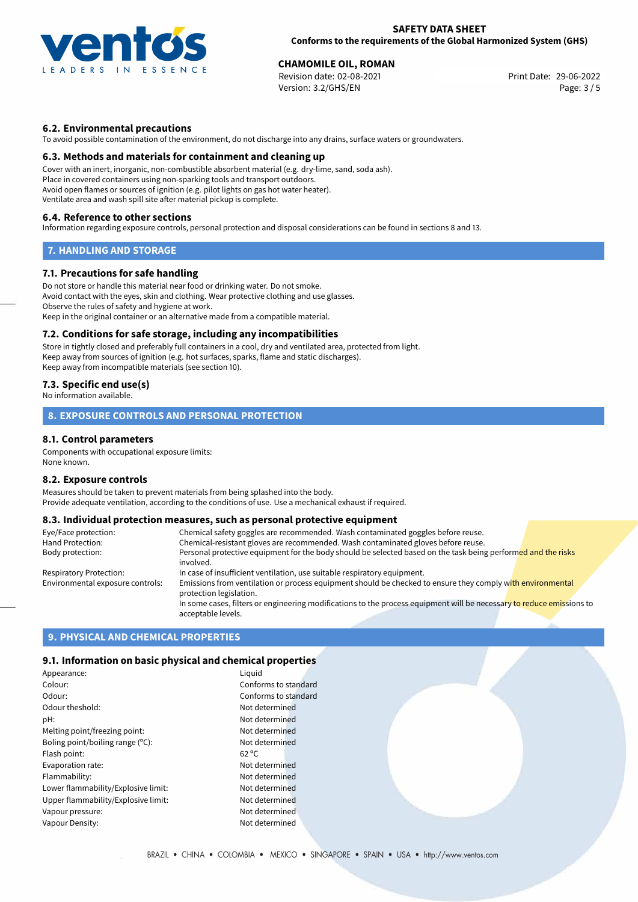

# **CHAMOMILE OIL, ROMAN**<br>
Revision date: 02-08-2021<br> **Print Date: 29-06-2022**

Revision date: 02-08-2021 Version: 3.2/GHS/EN Page: 3 / 5

## **6.2. Environmental precautions**

To avoid possible contamination of the environment, do not discharge into any drains, surface waters or groundwaters.

## **6.3. Methods and materials for containment and cleaning up**

Cover with an inert, inorganic, non-combustible absorbent material (e.g. dry-lime, sand, soda ash). Place in covered containers using non-sparking tools and transport outdoors. Avoid open flames or sources of ignition (e.g. pilot lights on gas hot water heater). Ventilate area and wash spill site after material pickup is complete.

## **6.4. Reference to other sections**

Information regarding exposure controls, personal protection and disposal considerations can be found in sections 8 and 13.

## **7. HANDLING AND STORAGE**

## **7.1. Precautions for safe handling**

Do not store or handle this material near food or drinking water. Do not smoke. Avoid contact with the eyes, skin and clothing. Wear protective clothing and use glasses. Observe the rules of safety and hygiene at work. Keep in the original container or an alternative made from a compatible material.

## **7.2. Conditions for safe storage, including any incompatibilities**

Store in tightly closed and preferably full containers in a cool, dry and ventilated area, protected from light. Keep away from sources of ignition (e.g. hot surfaces, sparks, flame and static discharges). Keep away from incompatible materials (see section 10).

## **7.3. Specific end use(s)**

No information available.

## **8. EXPOSURE CONTROLS AND PERSONAL PROTECTION**

## **8.1. Control parameters**

Components with occupational exposure limits: None known.

#### **8.2. Exposure controls**

Measures should be taken to prevent materials from being splashed into the body. Provide adequate ventilation, according to the conditions of use. Use a mechanical exhaust if required.

## **8.3. Individual protection measures, such as personal protective equipment**

| Eye/Face protection:             | Chemical safety goggles are recommended. Wash contaminated goggles before reuse.                                                            |  |
|----------------------------------|---------------------------------------------------------------------------------------------------------------------------------------------|--|
| Hand Protection:                 | Chemical-resistant gloves are recommended. Wash contaminated gloves before reuse.                                                           |  |
| Body protection:                 | Personal protective equipment for the body should be selected based on the task being performed and the risks<br>involved.                  |  |
| Respiratory Protection:          | In case of insufficient ventilation, use suitable respiratory equipment.                                                                    |  |
| Environmental exposure controls: | Emissions from ventilation or process equipment should be checked to ensure they comply with environmental<br>protection legislation.       |  |
|                                  | In some cases, filters or engineering modifications to the process equipment will be necessary to reduce emissions to<br>acceptable levels. |  |

## **9. PHYSICAL AND CHEMICAL PROPERTIES**

## **9.1. Information on basic physical and chemical properties**

| Appearance:                         | Liguid               |
|-------------------------------------|----------------------|
| Colour:                             | Conforms to standard |
| Odour:                              | Conforms to standard |
| Odour theshold:                     | Not determined       |
| pH:                                 | Not determined       |
| Melting point/freezing point:       | Not determined       |
| Boling point/boiling range (°C):    | Not determined       |
| Flash point:                        | $62^{\circ}$ C       |
| Evaporation rate:                   | Not determined       |
| Flammability:                       | Not determined       |
| Lower flammability/Explosive limit: | Not determined       |
| Upper flammability/Explosive limit: | Not determined       |
| Vapour pressure:                    | Not determined       |
| Vapour Density:                     | Not determined       |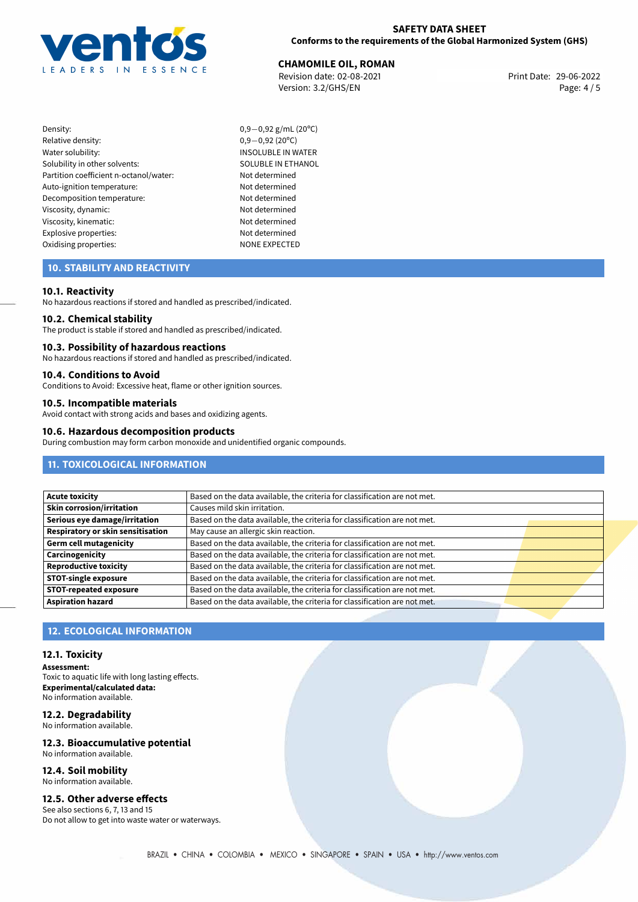

**CHAMOMILE OIL, ROMAN**<br>
Revision date: 02-08-2021<br> **CHAMOMILE OIL, ROMAN** Revision date: 02-08-2021 Version: 3.2/GHS/EN Page: 4 / 5

- Density: 0,9−0,92 g/mL (20°C)<br>Relative density: 0,9−0,92 (20°C) Relative density:<br>Water solubility: Solubility in other solvents: SOLUBLE IN ETHANOL Partition coefficient n-octanol/water: Not determined Auto-ignition temperature: Not determined Decomposition temperature: Not determined Viscosity, dynamic: Not determined Viscosity, kinematic: Not determined Explosive properties: Not determined Oxidising properties: NONE EXPECTED
	- INSOLUBLE IN WATER

## **10. STABILITY AND REACTIVITY**

## **10.1. Reactivity**

No hazardous reactions if stored and handled as prescribed/indicated.

#### **10.2. Chemical stability**

The product is stable if stored and handled as prescribed/indicated.

#### **10.3. Possibility of hazardous reactions**

No hazardous reactions if stored and handled as prescribed/indicated.

## **10.4. Conditions to Avoid**

Conditions to Avoid: Excessive heat, flame or other ignition sources.

## **10.5. Incompatible materials**

Avoid contact with strong acids and bases and oxidizing agents.

## **10.6. Hazardous decomposition products**

During combustion may form carbon monoxide and unidentified organic compounds.

## **11. TOXICOLOGICAL INFORMATION**

| Based on the data available, the criteria for classification are not met. |  |
|---------------------------------------------------------------------------|--|
| Causes mild skin irritation.                                              |  |
| Based on the data available, the criteria for classification are not met. |  |
| May cause an allergic skin reaction.                                      |  |
| Based on the data available, the criteria for classification are not met. |  |
| Based on the data available, the criteria for classification are not met. |  |
| Based on the data available, the criteria for classification are not met. |  |
| Based on the data available, the criteria for classification are not met. |  |
| Based on the data available, the criteria for classification are not met. |  |
| Based on the data available, the criteria for classification are not met. |  |
|                                                                           |  |

## **12. ECOLOGICAL INFORMATION**

### **12.1. Toxicity**

**Assessment:** Toxic to aquatic life with long lasting effects. **Experimental/calculated data:** No information available.

#### **12.2. Degradability** No information available.

**12.3. Bioaccumulative potential** No information available.

#### **12.4. Soil mobility** No information available.

## **12.5. Other adverse effects**

See also sections 6, 7, 13 and 15 Do not allow to get into waste water or waterways.